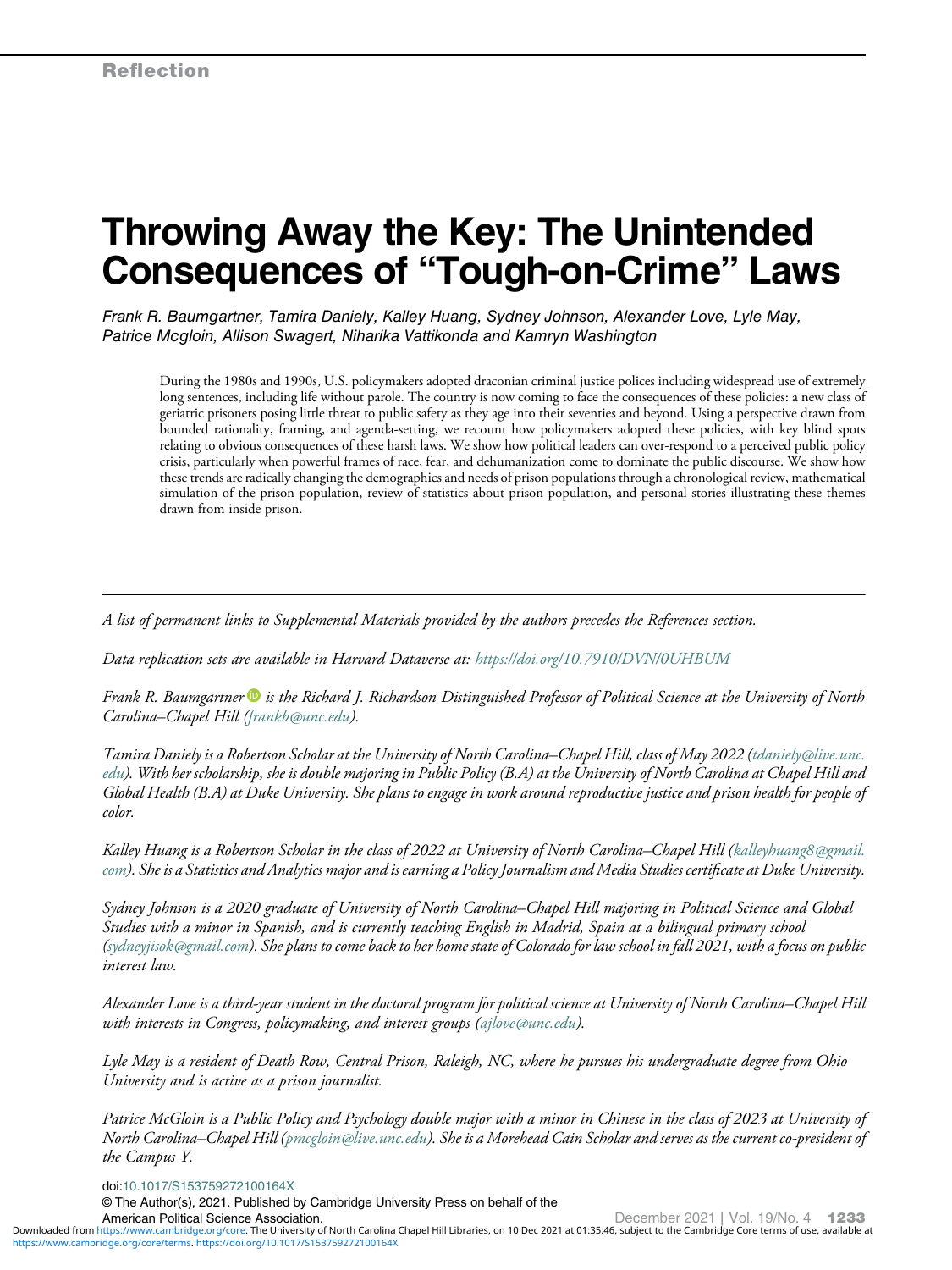# Throwing Away the Key: The Unintended Consequences of "Tough-on-Crime" Laws

Frank R. Baumgartner, Tamira Daniely, Kalley Huang, Sydney Johnson, Alexander Love, Lyle May, Patrice Mcgloin, Allison Swagert, Niharika Vattikonda and Kamryn Washington

During the 1980s and 1990s, U.S. policymakers adopted draconian criminal justice polices including widespread use of extremely long sentences, including life without parole. The country is now coming to face the consequences of these policies: a new class of geriatric prisoners posing little threat to public safety as they age into their seventies and beyond. Using a perspective drawn from bounded rationality, framing, and agenda-setting, we recount how policymakers adopted these policies, with key blind spots relating to obvious consequences of these harsh laws. We show how political leaders can over-respond to a perceived public policy crisis, particularly when powerful frames of race, fear, and dehumanization come to dominate the public discourse. We show how these trends are radically changing the demographics and needs of prison populations through a chronological review, mathematical simulation of the prison population, review of statistics about prison population, and personal stories illustrating these themes drawn from inside prison.

A list of permanent links to Supplemental Materials provided by the authors precedes the References section.

Data replication sets are available in Harvard Dataverse at: <https://doi.org/10.7910/DVN/0UHBUM>

Frank R. Baumgartner  $\bullet$  is the Richard J. Richardson Distinguished Professor of Political Science at the University of North Carolina–Chapel Hill ([frankb@unc.edu](mailto:frankb@unc.edu)).

Tamira Daniely is a Robertson Scholar at the University of North Carolina–Chapel Hill, class of May 2022 [\(tdaniely@live.unc.](mailto:tdaniely@live.unc.edu) [edu](mailto:tdaniely@live.unc.edu)). With her scholarship, she is double majoring in Public Policy (B.A) at the University of North Carolina at Chapel Hill and Global Health (B.A) at Duke University. She plans to engage in work around reproductive justice and prison health for people of color.

Kalley Huang is a Robertson Scholar in the class of 2022 at University of North Carolina–Chapel Hill [\(kalleyhuang8@gmail.](mailto:kalleyhuang8@gmail.com) [com\)](mailto:kalleyhuang8@gmail.com). She is a Statistics and Analytics major and is earning a Policy Journalism and Media Studies certificate at Duke University.

Sydney Johnson is a 2020 graduate of University of North Carolina–Chapel Hill majoring in Political Science and Global Studies with a minor in Spanish, and is currently teaching English in Madrid, Spain at a bilingual primary school [\(sydneyjisok@gmail.com](mailto:sydneyjisok@gmail.com)). She plans to come back to her home state of Colorado for law school in fall 2021, with a focus on public interest law.

Alexander Love is a third-year student in the doctoral program for political science at University of North Carolina–Chapel Hill with interests in Congress, policymaking, and interest groups ([ajlove@unc.edu](mailto:ajlove@unc.edu)).

Lyle May is a resident of Death Row, Central Prison, Raleigh, NC, where he pursues his undergraduate degree from Ohio University and is active as a prison journalist.

Patrice McGloin is a Public Policy and Psychology double major with a minor in Chinese in the class of 2023 at University of North Carolina–Chapel Hill [\(pmcgloin@live.unc.edu](mailto:pmcgloin@live.unc.edu)). She is a Morehead Cain Scholar and serves as the current co-president of the Campus Y.

doi[:10.1017/S153759272100164X](https://doi.org/10.1017/S153759272100164X)

© The Author(s), 2021. Published by Cambridge University Press on behalf of the

American Political Science Association.<br>Downloaded from<https://www.cambridge.org/core>. The University of North Carolina Chapel Hill Libraries, on 10 Dec 2021 at 01:35:46, subject to the Cambridge Core terms of use, availa <https://www.cambridge.org/core/terms>.<https://doi.org/10.1017/S153759272100164X>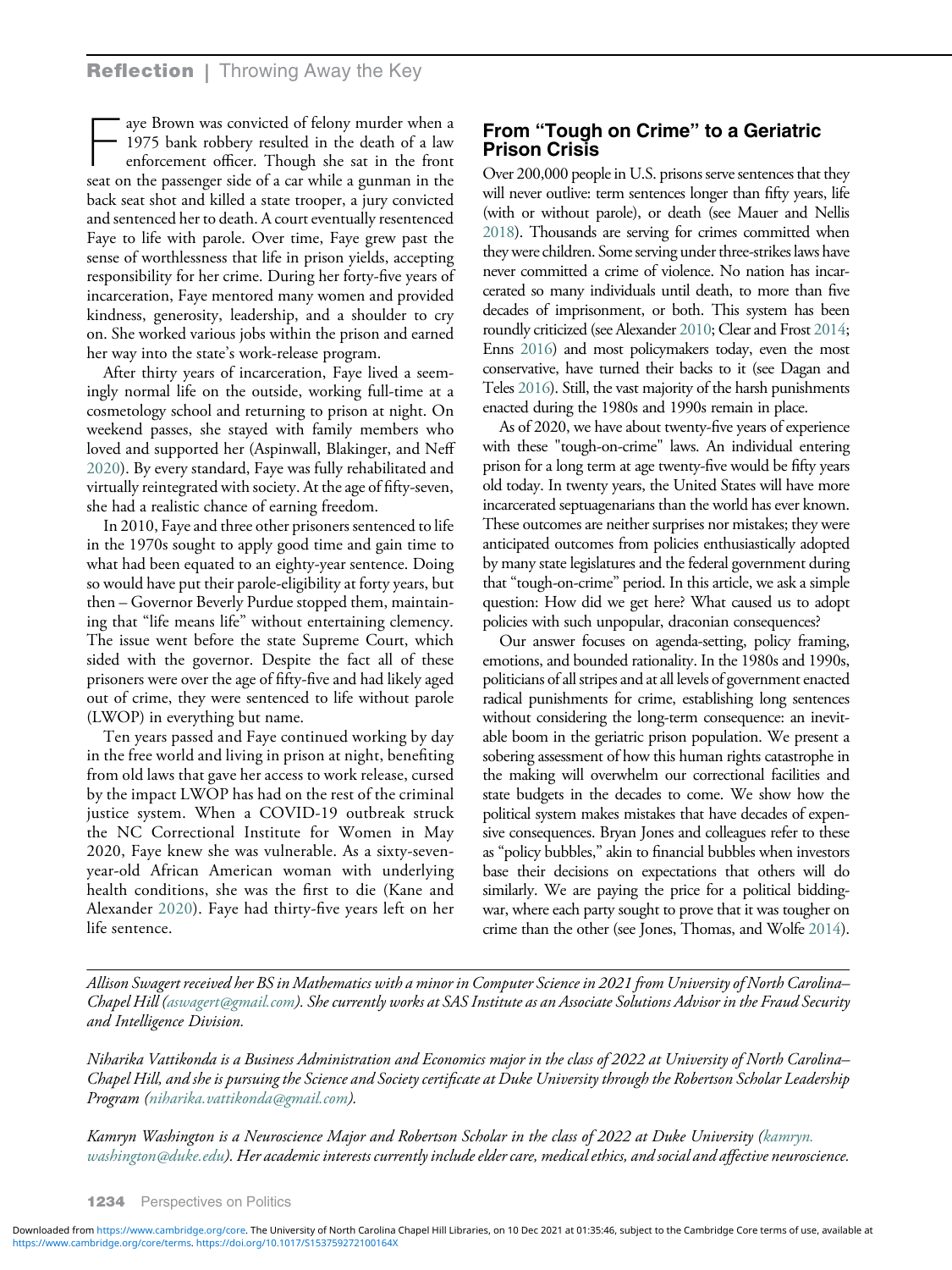aye Brown was convicted of felony murder when a 1975 bank robbery resulted in the death of a law enforcement officer. Though she sat in the front seat on the passenger side of a car while a gunman in the back seat shot and killed a state trooper, a jury convicted and sentenced her to death. A court eventually resentenced Faye to life with parole. Over time, Faye grew past the sense of worthlessness that life in prison yields, accepting responsibility for her crime. During her forty-five years of incarceration, Faye mentored many women and provided kindness, generosity, leadership, and a shoulder to cry on. She worked various jobs within the prison and earned her way into the state's work-release program.

After thirty years of incarceration, Faye lived a seemingly normal life on the outside, working full-time at a cosmetology school and returning to prison at night. On weekend passes, she stayed with family members who loved and supported her (Aspinwall, Blakinger, and Neff [2020\)](#page-11-0). By every standard, Faye was fully rehabilitated and virtually reintegrated with society. At the age of fifty-seven, she had a realistic chance of earning freedom.

In 2010, Faye and three other prisoners sentenced to life in the 1970s sought to apply good time and gain time to what had been equated to an eighty-year sentence. Doing so would have put their parole-eligibility at forty years, but then – Governor Beverly Purdue stopped them, maintaining that "life means life" without entertaining clemency. The issue went before the state Supreme Court, which sided with the governor. Despite the fact all of these prisoners were over the age of fifty-five and had likely aged out of crime, they were sentenced to life without parole (LWOP) in everything but name.

Ten years passed and Faye continued working by day in the free world and living in prison at night, benefiting from old laws that gave her access to work release, cursed by the impact LWOP has had on the rest of the criminal justice system. When a COVID-19 outbreak struck the NC Correctional Institute for Women in May 2020, Faye knew she was vulnerable. As a sixty-sevenyear-old African American woman with underlying health conditions, she was the first to die (Kane and Alexander [2020](#page-12-0)). Faye had thirty-five years left on her life sentence.

# From "Tough on Crime" to a Geriatric Prison Crisis

Over 200,000 people in U.S. prisons serve sentences that they will never outlive: term sentences longer than fifty years, life (with or without parole), or death (see Mauer and Nellis [2018\)](#page-12-0). Thousands are serving for crimes committed when they were children. Some serving under three-strikes laws have never committed a crime of violence. No nation has incarcerated so many individuals until death, to more than five decades of imprisonment, or both. This system has been roundly criticized (see Alexander [2010;](#page-11-0) Clear and Frost [2014;](#page-11-0) Enns [2016\)](#page-12-0) and most policymakers today, even the most conservative, have turned their backs to it (see Dagan and Teles [2016](#page-12-0)). Still, the vast majority of the harsh punishments enacted during the 1980s and 1990s remain in place.

As of 2020, we have about twenty-five years of experience with these "tough-on-crime" laws. An individual entering prison for a long term at age twenty-five would be fifty years old today. In twenty years, the United States will have more incarcerated septuagenarians than the world has ever known. These outcomes are neither surprises nor mistakes; they were anticipated outcomes from policies enthusiastically adopted by many state legislatures and the federal government during that "tough-on-crime" period. In this article, we ask a simple question: How did we get here? What caused us to adopt policies with such unpopular, draconian consequences?

Our answer focuses on agenda-setting, policy framing, emotions, and bounded rationality. In the 1980s and 1990s, politicians of all stripes and at all levels of government enacted radical punishments for crime, establishing long sentences without considering the long-term consequence: an inevitable boom in the geriatric prison population. We present a sobering assessment of how this human rights catastrophe in the making will overwhelm our correctional facilities and state budgets in the decades to come. We show how the political system makes mistakes that have decades of expensive consequences. Bryan Jones and colleagues refer to these as "policy bubbles," akin to financial bubbles when investors base their decisions on expectations that others will do similarly. We are paying the price for a political biddingwar, where each party sought to prove that it was tougher on crime than the other (see Jones, Thomas, and Wolfe [2014\)](#page-12-0).

Allison Swagert received her BS in Mathematics with a minor in Computer Science in 2021 from University of North Carolina– Chapel Hill [\(aswagert@gmail.com\)](mailto:aswagert@gmail.com). She currently works at SAS Institute as an Associate Solutions Advisor in the Fraud Security and Intelligence Division.

Niharika Vattikonda is a Business Administration and Economics major in the class of 2022 at University of North Carolina– Chapel Hill, and she is pursuing the Science and Society certificate at Duke University through the Robertson Scholar Leadership Program ([niharika.vattikonda@gmail.com\)](mailto:niharika.vattikonda@gmail.com).

Kamryn Washington is a Neuroscience Major and Robertson Scholar in the class of 2022 at Duke University [\(kamryn.](mailto:kamryn.washington@duke.edu) [washington@duke.edu\)](mailto:kamryn.washington@duke.edu). Her academic interests currently include elder care, medical ethics, and social and affective neuroscience.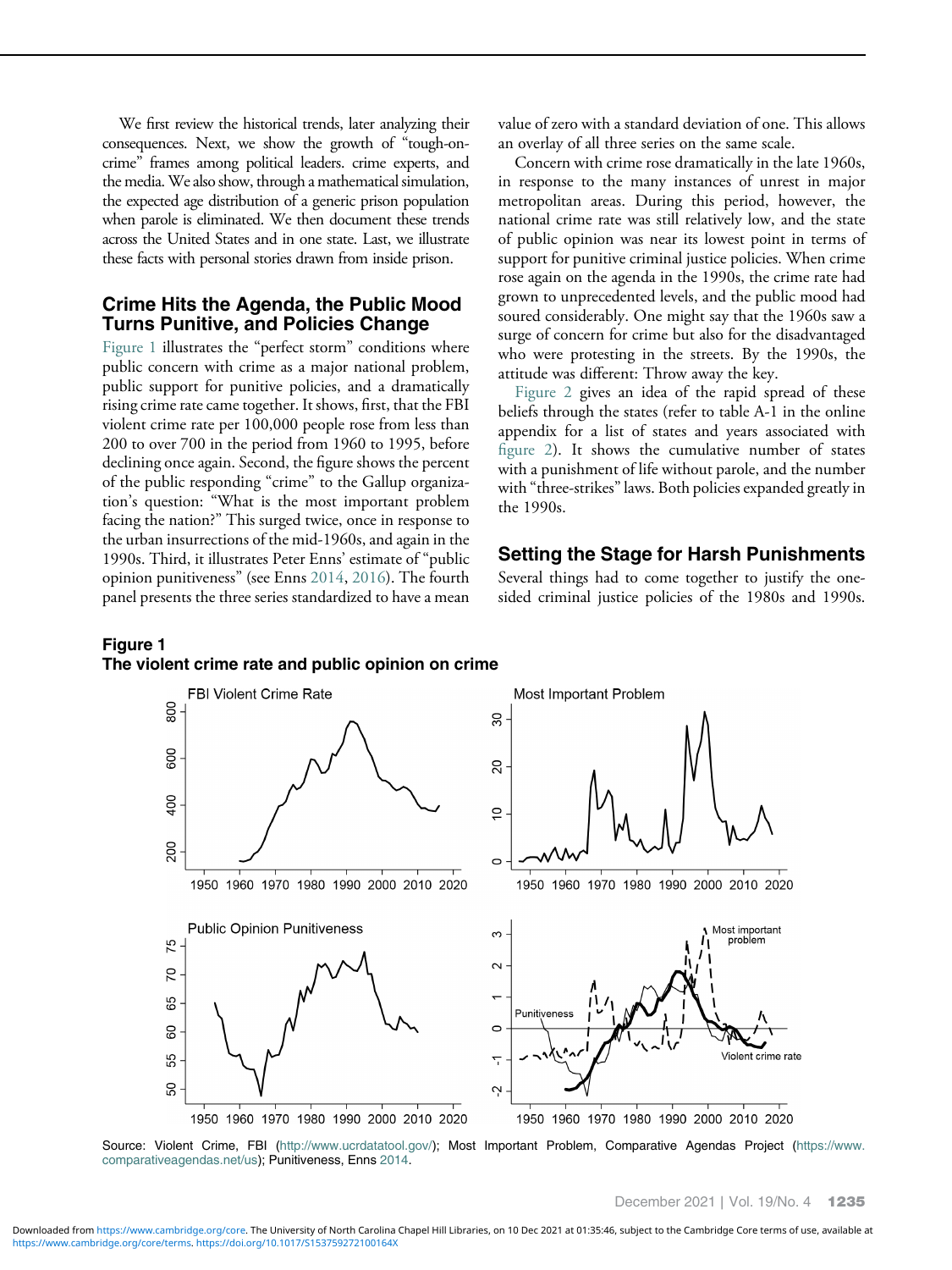We first review the historical trends, later analyzing their consequences. Next, we show the growth of "tough-oncrime" frames among political leaders. crime experts, and the media.We also show, through a mathematical simulation, the expected age distribution of a generic prison population when parole is eliminated. We then document these trends across the United States and in one state. Last, we illustrate these facts with personal stories drawn from inside prison.

# Crime Hits the Agenda, the Public Mood Turns Punitive, and Policies Change

Figure 1 illustrates the "perfect storm" conditions where public concern with crime as a major national problem, public support for punitive policies, and a dramatically rising crime rate came together. It shows, first, that the FBI violent crime rate per 100,000 people rose from less than 200 to over 700 in the period from 1960 to 1995, before declining once again. Second, the figure shows the percent of the public responding "crime" to the Gallup organization's question: "What is the most important problem facing the nation?" This surged twice, once in response to the urban insurrections of the mid-1960s, and again in the 1990s. Third, it illustrates Peter Enns' estimate of "public opinion punitiveness" (see Enns [2014,](#page-12-0) [2016\)](#page-12-0). The fourth panel presents the three series standardized to have a mean value of zero with a standard deviation of one. This allows an overlay of all three series on the same scale.

Concern with crime rose dramatically in the late 1960s, in response to the many instances of unrest in major metropolitan areas. During this period, however, the national crime rate was still relatively low, and the state of public opinion was near its lowest point in terms of support for punitive criminal justice policies. When crime rose again on the agenda in the 1990s, the crime rate had grown to unprecedented levels, and the public mood had soured considerably. One might say that the 1960s saw a surge of concern for crime but also for the disadvantaged who were protesting in the streets. By the 1990s, the attitude was different: Throw away the key.

[Figure 2](#page-3-0) gives an idea of the rapid spread of these beliefs through the states (refer to table A-1 in the online appendix for a list of states and years associated with fi[gure 2\)](#page-3-0). It shows the cumulative number of states with a punishment of life without parole, and the number with "three-strikes" laws. Both policies expanded greatly in the 1990s.

## Setting the Stage for Harsh Punishments

Several things had to come together to justify the onesided criminal justice policies of the 1980s and 1990s.

## Figure 1 The violent crime rate and public opinion on crime



Source: Violent Crime, FBI ([http://www.ucrdatatool.gov/\)](http://www.ucrdatatool.gov/); Most Important Problem, Comparative Agendas Project [\(https://www.](https://www.comparativeagendas.net/us) [comparativeagendas.net/us\)](https://www.comparativeagendas.net/us); Punitiveness, Enns [2014.](#page-12-0)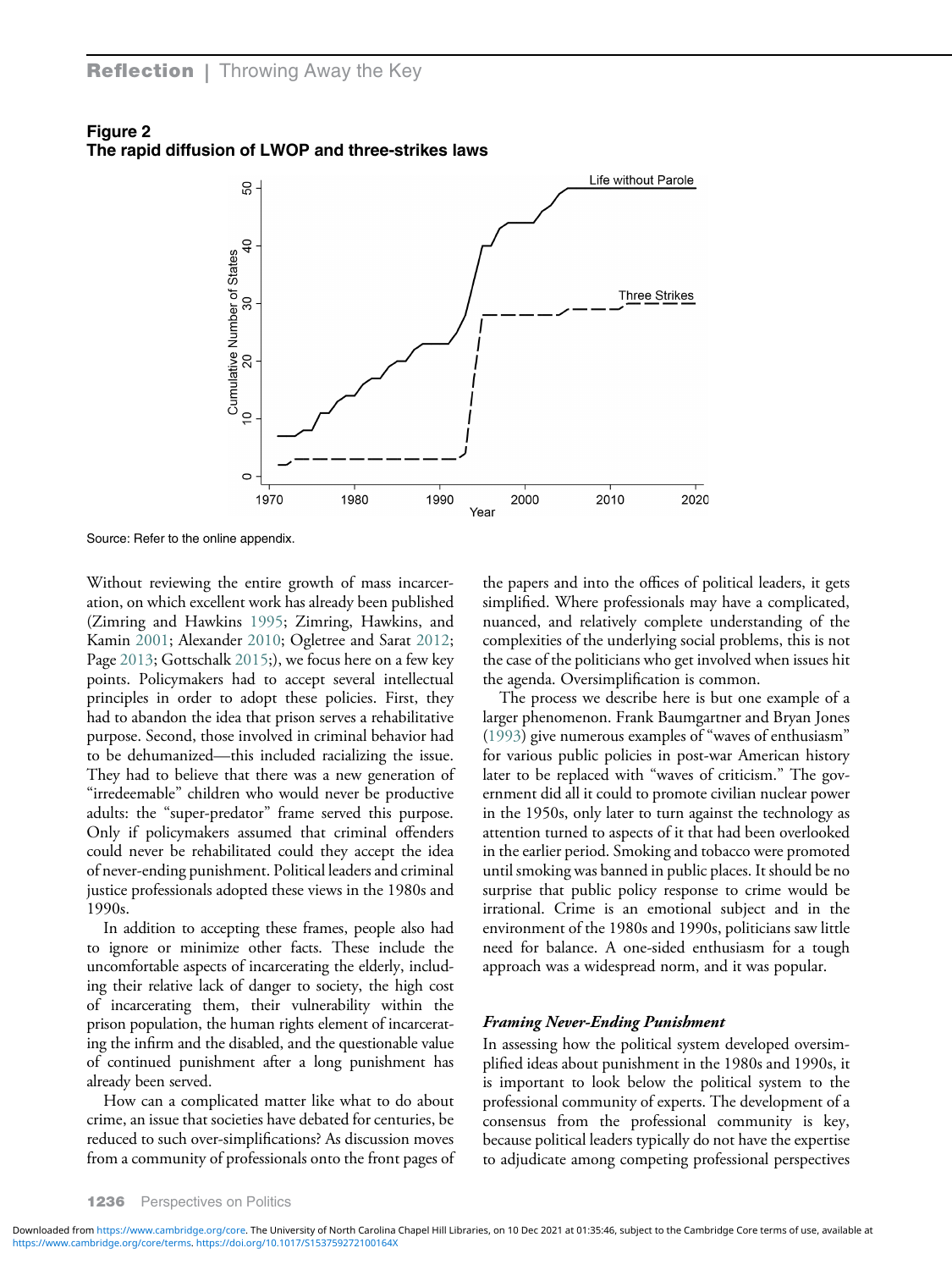<span id="page-3-0"></span>



Source: Refer to the online appendix.

Without reviewing the entire growth of mass incarceration, on which excellent work has already been published (Zimring and Hawkins [1995;](#page-13-0) Zimring, Hawkins, and Kamin [2001;](#page-13-0) Alexander [2010](#page-11-0); Ogletree and Sarat [2012;](#page-12-0) Page [2013;](#page-12-0) Gottschalk [2015](#page-12-0);), we focus here on a few key points. Policymakers had to accept several intellectual principles in order to adopt these policies. First, they had to abandon the idea that prison serves a rehabilitative purpose. Second, those involved in criminal behavior had to be dehumanized—this included racializing the issue. They had to believe that there was a new generation of "irredeemable" children who would never be productive adults: the "super-predator" frame served this purpose. Only if policymakers assumed that criminal offenders could never be rehabilitated could they accept the idea of never-ending punishment. Political leaders and criminal justice professionals adopted these views in the 1980s and 1990s.

In addition to accepting these frames, people also had to ignore or minimize other facts. These include the uncomfortable aspects of incarcerating the elderly, including their relative lack of danger to society, the high cost of incarcerating them, their vulnerability within the prison population, the human rights element of incarcerating the infirm and the disabled, and the questionable value of continued punishment after a long punishment has already been served.

How can a complicated matter like what to do about crime, an issue that societies have debated for centuries, be reduced to such over-simplifications? As discussion moves from a community of professionals onto the front pages of the papers and into the offices of political leaders, it gets simplified. Where professionals may have a complicated, nuanced, and relatively complete understanding of the complexities of the underlying social problems, this is not the case of the politicians who get involved when issues hit the agenda. Oversimplification is common.

The process we describe here is but one example of a larger phenomenon. Frank Baumgartner and Bryan Jones [\(1993](#page-11-0)) give numerous examples of "waves of enthusiasm" for various public policies in post-war American history later to be replaced with "waves of criticism." The government did all it could to promote civilian nuclear power in the 1950s, only later to turn against the technology as attention turned to aspects of it that had been overlooked in the earlier period. Smoking and tobacco were promoted until smoking was banned in public places. It should be no surprise that public policy response to crime would be irrational. Crime is an emotional subject and in the environment of the 1980s and 1990s, politicians saw little need for balance. A one-sided enthusiasm for a tough approach was a widespread norm, and it was popular.

#### Framing Never-Ending Punishment

In assessing how the political system developed oversimplified ideas about punishment in the 1980s and 1990s, it is important to look below the political system to the professional community of experts. The development of a consensus from the professional community is key, because political leaders typically do not have the expertise to adjudicate among competing professional perspectives

<https://www.cambridge.org/core/terms>.<https://doi.org/10.1017/S153759272100164X> Downloaded from<https://www.cambridge.org/core>. The University of North Carolina Chapel Hill Libraries, on 10 Dec 2021 at 01:35:46, subject to the Cambridge Core terms of use, available at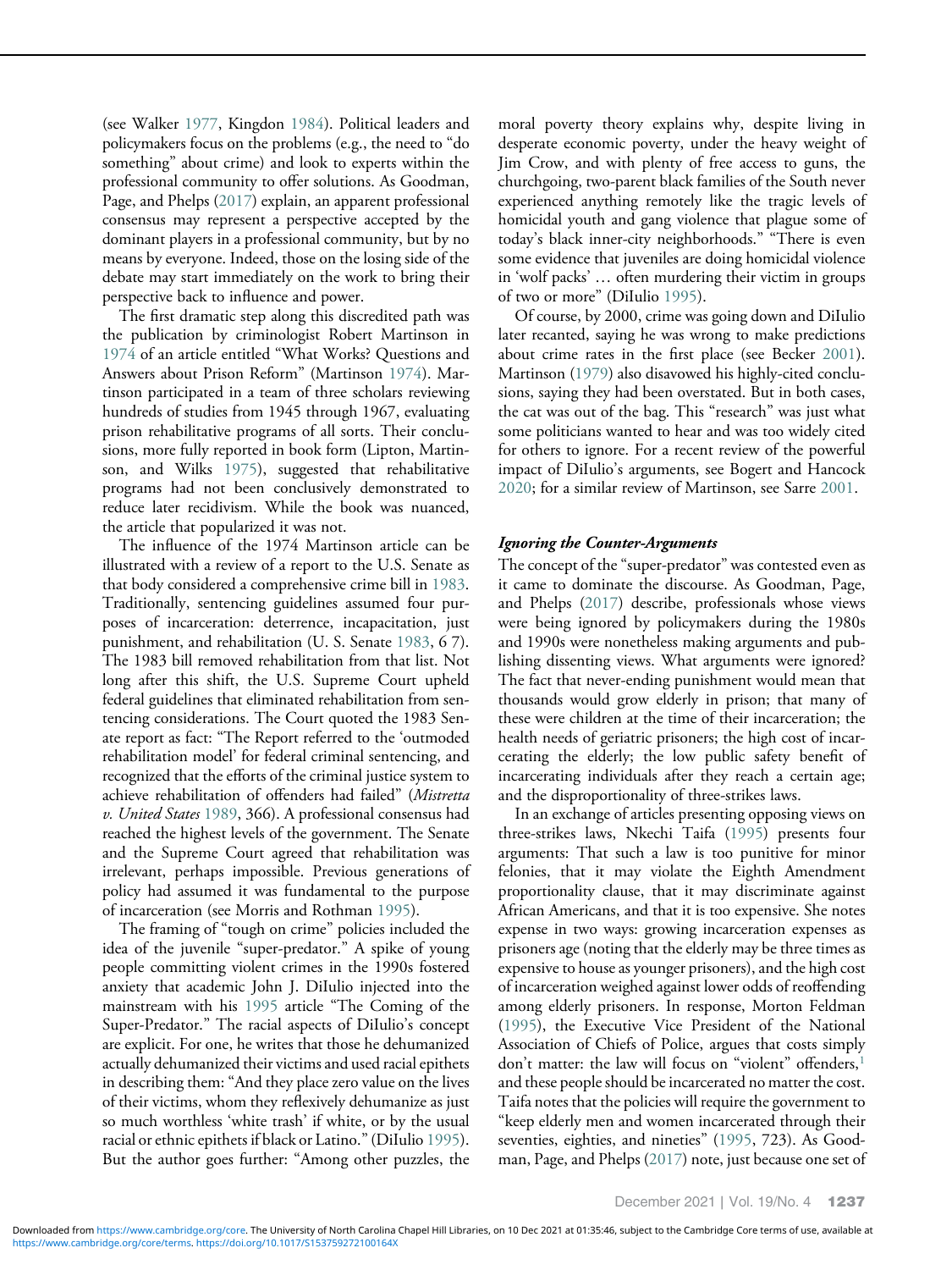(see Walker [1977](#page-13-0), Kingdon [1984](#page-12-0)). Political leaders and policymakers focus on the problems (e.g., the need to "do something" about crime) and look to experts within the professional community to offer solutions. As Goodman, Page, and Phelps [\(2017](#page-12-0)) explain, an apparent professional consensus may represent a perspective accepted by the dominant players in a professional community, but by no means by everyone. Indeed, those on the losing side of the debate may start immediately on the work to bring their perspective back to influence and power.

The first dramatic step along this discredited path was the publication by criminologist Robert Martinson in [1974](#page-12-0) of an article entitled "What Works? Questions and Answers about Prison Reform" (Martinson [1974](#page-12-0)). Martinson participated in a team of three scholars reviewing hundreds of studies from 1945 through 1967, evaluating prison rehabilitative programs of all sorts. Their conclusions, more fully reported in book form (Lipton, Martinson, and Wilks [1975\)](#page-12-0), suggested that rehabilitative programs had not been conclusively demonstrated to reduce later recidivism. While the book was nuanced, the article that popularized it was not.

The influence of the 1974 Martinson article can be illustrated with a review of a report to the U.S. Senate as that body considered a comprehensive crime bill in [1983](#page-12-0). Traditionally, sentencing guidelines assumed four purposes of incarceration: deterrence, incapacitation, just punishment, and rehabilitation (U. S. Senate [1983](#page-12-0), 6 7). The 1983 bill removed rehabilitation from that list. Not long after this shift, the U.S. Supreme Court upheld federal guidelines that eliminated rehabilitation from sentencing considerations. The Court quoted the 1983 Senate report as fact: "The Report referred to the 'outmoded rehabilitation model' for federal criminal sentencing, and recognized that the efforts of the criminal justice system to achieve rehabilitation of offenders had failed" (Mistretta v. United States [1989](#page-12-0), 366). A professional consensus had reached the highest levels of the government. The Senate and the Supreme Court agreed that rehabilitation was irrelevant, perhaps impossible. Previous generations of policy had assumed it was fundamental to the purpose of incarceration (see Morris and Rothman [1995](#page-12-0)).

The framing of "tough on crime" policies included the idea of the juvenile "super-predator." A spike of young people committing violent crimes in the 1990s fostered anxiety that academic John J. DiIulio injected into the mainstream with his [1995](#page-12-0) article "The Coming of the Super-Predator." The racial aspects of DiIulio's concept are explicit. For one, he writes that those he dehumanized actually dehumanized their victims and used racial epithets in describing them: "And they place zero value on the lives of their victims, whom they reflexively dehumanize as just so much worthless 'white trash' if white, or by the usual racial or ethnic epithets if black or Latino."(DiIulio [1995](#page-12-0)). But the author goes further: "Among other puzzles, the

moral poverty theory explains why, despite living in desperate economic poverty, under the heavy weight of Jim Crow, and with plenty of free access to guns, the churchgoing, two-parent black families of the South never experienced anything remotely like the tragic levels of homicidal youth and gang violence that plague some of today's black inner-city neighborhoods." "There is even some evidence that juveniles are doing homicidal violence in 'wolf packs' … often murdering their victim in groups of two or more" (DiIulio [1995](#page-12-0)).

Of course, by 2000, crime was going down and DiIulio later recanted, saying he was wrong to make predictions about crime rates in the first place (see Becker [2001](#page-11-0)). Martinson ([1979\)](#page-12-0) also disavowed his highly-cited conclusions, saying they had been overstated. But in both cases, the cat was out of the bag. This "research" was just what some politicians wanted to hear and was too widely cited for others to ignore. For a recent review of the powerful impact of DiIulio's arguments, see Bogert and Hancock [2020;](#page-11-0) for a similar review of Martinson, see Sarre [2001.](#page-12-0)

#### Ignoring the Counter-Arguments

The concept of the "super-predator" was contested even as it came to dominate the discourse. As Goodman, Page, and Phelps ([2017\)](#page-12-0) describe, professionals whose views were being ignored by policymakers during the 1980s and 1990s were nonetheless making arguments and publishing dissenting views. What arguments were ignored? The fact that never-ending punishment would mean that thousands would grow elderly in prison; that many of these were children at the time of their incarceration; the health needs of geriatric prisoners; the high cost of incarcerating the elderly; the low public safety benefit of incarcerating individuals after they reach a certain age; and the disproportionality of three-strikes laws.

In an exchange of articles presenting opposing views on three-strikes laws, Nkechi Taifa [\(1995](#page-12-0)) presents four arguments: That such a law is too punitive for minor felonies, that it may violate the Eighth Amendment proportionality clause, that it may discriminate against African Americans, and that it is too expensive. She notes expense in two ways: growing incarceration expenses as prisoners age (noting that the elderly may be three times as expensive to house as younger prisoners), and the high cost of incarceration weighed against lower odds of reoffending among elderly prisoners. In response, Morton Feldman [\(1995\)](#page-12-0), the Executive Vice President of the National Association of Chiefs of Police, argues that costs simply don't matter: the law will focus on "violent" offenders,<sup>[1](#page-11-0)</sup> and these people should be incarcerated no matter the cost. Taifa notes that the policies will require the government to "keep elderly men and women incarcerated through their seventies, eighties, and nineties" [\(1995](#page-12-0), 723). As Goodman, Page, and Phelps ([2017\)](#page-12-0) note, just because one set of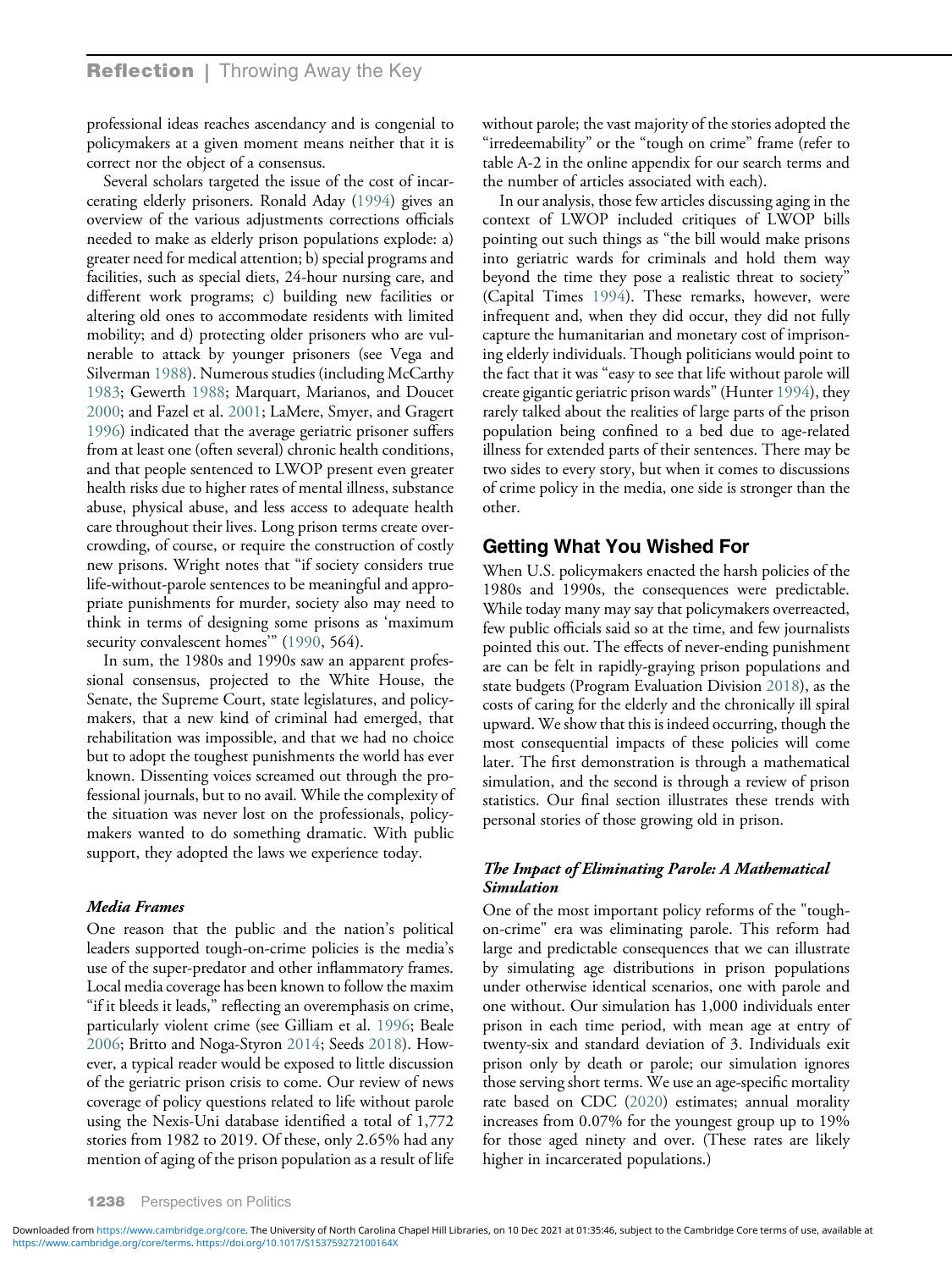professional ideas reaches ascendancy and is congenial to policymakers at a given moment means neither that it is correct nor the object of a consensus.

Several scholars targeted the issue of the cost of incarcerating elderly prisoners. Ronald Aday ([1994](#page-11-0)) gives an overview of the various adjustments corrections officials needed to make as elderly prison populations explode: a) greater need for medical attention; b) special programs and facilities, such as special diets, 24-hour nursing care, and different work programs; c) building new facilities or altering old ones to accommodate residents with limited mobility; and d) protecting older prisoners who are vulnerable to attack by younger prisoners (see Vega and Silverman [1988\)](#page-12-0). Numerous studies (including McCarthy [1983;](#page-12-0) Gewerth [1988](#page-12-0); Marquart, Marianos, and Doucet [2000;](#page-12-0) and Fazel et al. [2001](#page-12-0); LaMere, Smyer, and Gragert [1996\)](#page-12-0) indicated that the average geriatric prisoner suffers from at least one (often several) chronic health conditions, and that people sentenced to LWOP present even greater health risks due to higher rates of mental illness, substance abuse, physical abuse, and less access to adequate health care throughout their lives. Long prison terms create overcrowding, of course, or require the construction of costly new prisons. Wright notes that "if society considers true life-without-parole sentences to be meaningful and appropriate punishments for murder, society also may need to think in terms of designing some prisons as 'maximum security convalescent homes" [\(1990](#page-13-0), 564).

In sum, the 1980s and 1990s saw an apparent professional consensus, projected to the White House, the Senate, the Supreme Court, state legislatures, and policymakers, that a new kind of criminal had emerged, that rehabilitation was impossible, and that we had no choice but to adopt the toughest punishments the world has ever known. Dissenting voices screamed out through the professional journals, but to no avail. While the complexity of the situation was never lost on the professionals, policymakers wanted to do something dramatic. With public support, they adopted the laws we experience today.

#### Media Frames

One reason that the public and the nation's political leaders supported tough-on-crime policies is the media's use of the super-predator and other inflammatory frames. Local media coverage has been known to follow the maxim "if it bleeds it leads," reflecting an overemphasis on crime, particularly violent crime (see Gilliam et al. [1996;](#page-12-0) Beale [2006;](#page-11-0) Britto and Noga-Styron [2014;](#page-11-0) Seeds [2018\)](#page-12-0). However, a typical reader would be exposed to little discussion of the geriatric prison crisis to come. Our review of news coverage of policy questions related to life without parole using the Nexis-Uni database identified a total of 1,772 stories from 1982 to 2019. Of these, only 2.65% had any mention of aging of the prison population as a result of life

without parole; the vast majority of the stories adopted the "irredeemability" or the "tough on crime" frame (refer to table A-2 in the online appendix for our search terms and the number of articles associated with each).

In our analysis, those few articles discussing aging in the context of LWOP included critiques of LWOP bills pointing out such things as "the bill would make prisons into geriatric wards for criminals and hold them way beyond the time they pose a realistic threat to society" (Capital Times [1994](#page-11-0)). These remarks, however, were infrequent and, when they did occur, they did not fully capture the humanitarian and monetary cost of imprisoning elderly individuals. Though politicians would point to the fact that it was "easy to see that life without parole will create gigantic geriatric prison wards"(Hunter [1994](#page-12-0)), they rarely talked about the realities of large parts of the prison population being confined to a bed due to age-related illness for extended parts of their sentences. There may be two sides to every story, but when it comes to discussions of crime policy in the media, one side is stronger than the other.

# Getting What You Wished For

When U.S. policymakers enacted the harsh policies of the 1980s and 1990s, the consequences were predictable. While today many may say that policymakers overreacted, few public officials said so at the time, and few journalists pointed this out. The effects of never-ending punishment are can be felt in rapidly-graying prison populations and state budgets (Program Evaluation Division [2018\)](#page-12-0), as the costs of caring for the elderly and the chronically ill spiral upward. We show that this is indeed occurring, though the most consequential impacts of these policies will come later. The first demonstration is through a mathematical simulation, and the second is through a review of prison statistics. Our final section illustrates these trends with personal stories of those growing old in prison.

# The Impact of Eliminating Parole: A Mathematical Simulation

One of the most important policy reforms of the "toughon-crime" era was eliminating parole. This reform had large and predictable consequences that we can illustrate by simulating age distributions in prison populations under otherwise identical scenarios, one with parole and one without. Our simulation has 1,000 individuals enter prison in each time period, with mean age at entry of twenty-six and standard deviation of 3. Individuals exit prison only by death or parole; our simulation ignores those serving short terms. We use an age-specific mortality rate based on CDC ([2020\)](#page-11-0) estimates; annual morality increases from 0.07% for the youngest group up to 19% for those aged ninety and over. (These rates are likely higher in incarcerated populations.)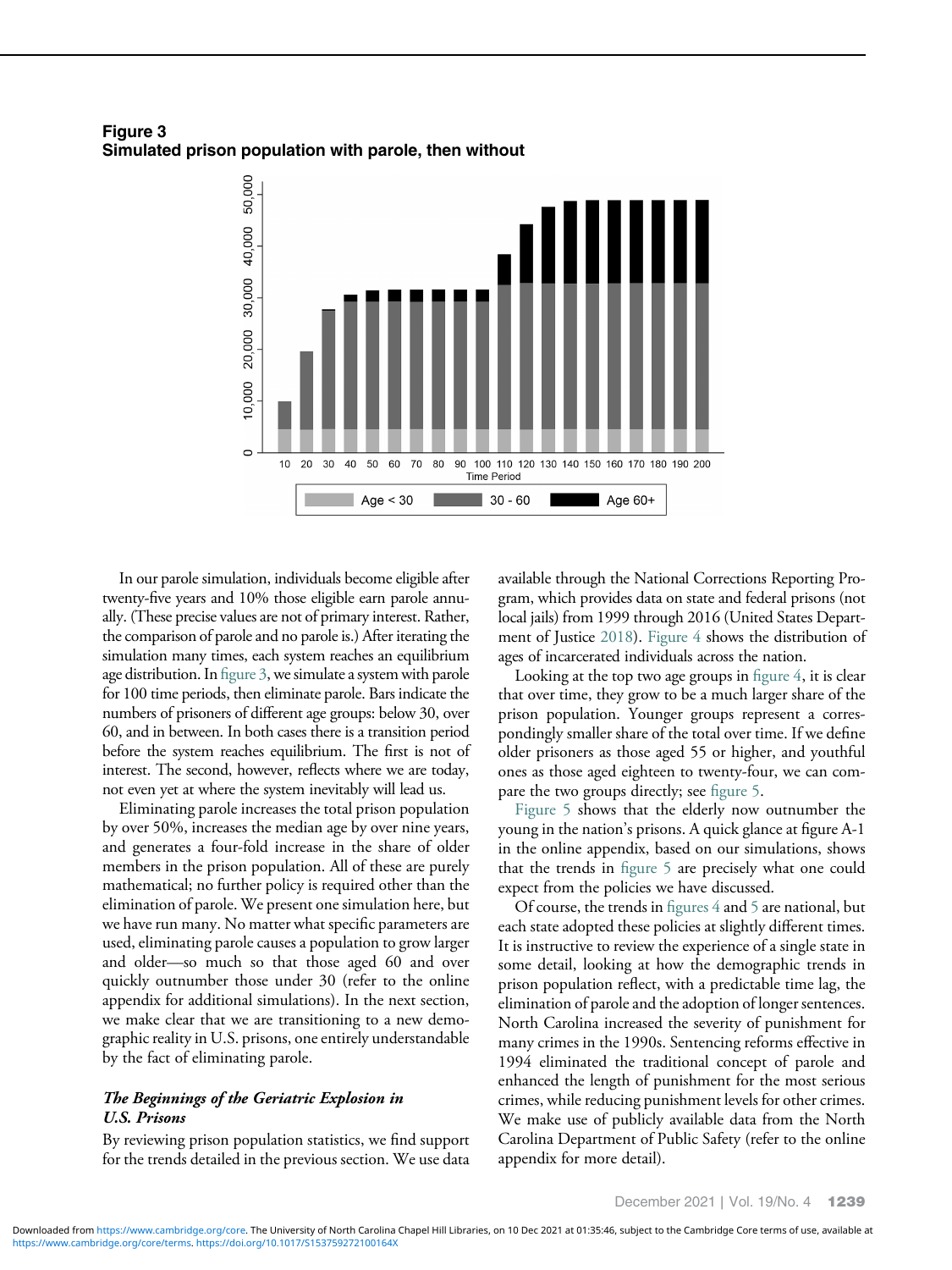Figure 3 Simulated prison population with parole, then without



In our parole simulation, individuals become eligible after twenty-five years and 10% those eligible earn parole annually. (These precise values are not of primary interest. Rather, the comparison of parole and no parole is.) After iterating the simulation many times, each system reaches an equilibrium age distribution. In figure 3, we simulate a system with parole for 100 time periods, then eliminate parole. Bars indicate the numbers of prisoners of different age groups: below 30, over 60, and in between. In both cases there is a transition period before the system reaches equilibrium. The first is not of interest. The second, however, reflects where we are today, not even yet at where the system inevitably will lead us.

Eliminating parole increases the total prison population by over 50%, increases the median age by over nine years, and generates a four-fold increase in the share of older members in the prison population. All of these are purely mathematical; no further policy is required other than the elimination of parole. We present one simulation here, but we have run many. No matter what specific parameters are used, eliminating parole causes a population to grow larger and older—so much so that those aged 60 and over quickly outnumber those under 30 (refer to the online appendix for additional simulations). In the next section, we make clear that we are transitioning to a new demographic reality in U.S. prisons, one entirely understandable by the fact of eliminating parole.

#### The Beginnings of the Geriatric Explosion in U.S. Prisons

By reviewing prison population statistics, we find support for the trends detailed in the previous section. We use data available through the National Corrections Reporting Program, which provides data on state and federal prisons (not local jails) from 1999 through 2016 (United States Depart-ment of Justice [2018](#page-12-0)). [Figure 4](#page-7-0) shows the distribution of ages of incarcerated individuals across the nation.

Looking at the top two age groups in fi[gure 4](#page-7-0), it is clear that over time, they grow to be a much larger share of the prison population. Younger groups represent a correspondingly smaller share of the total over time. If we define older prisoners as those aged 55 or higher, and youthful ones as those aged eighteen to twenty-four, we can compare the two groups directly; see fi[gure 5](#page-7-0).

[Figure 5](#page-7-0) shows that the elderly now outnumber the young in the nation's prisons. A quick glance at figure A-1 in the online appendix, based on our simulations, shows that the trends in fi[gure 5](#page-7-0) are precisely what one could expect from the policies we have discussed.

Of course, the trends in figures  $4$  and  $5$  are national, but each state adopted these policies at slightly different times. It is instructive to review the experience of a single state in some detail, looking at how the demographic trends in prison population reflect, with a predictable time lag, the elimination of parole and the adoption of longer sentences. North Carolina increased the severity of punishment for many crimes in the 1990s. Sentencing reforms effective in 1994 eliminated the traditional concept of parole and enhanced the length of punishment for the most serious crimes, while reducing punishment levels for other crimes. We make use of publicly available data from the North Carolina Department of Public Safety (refer to the online appendix for more detail).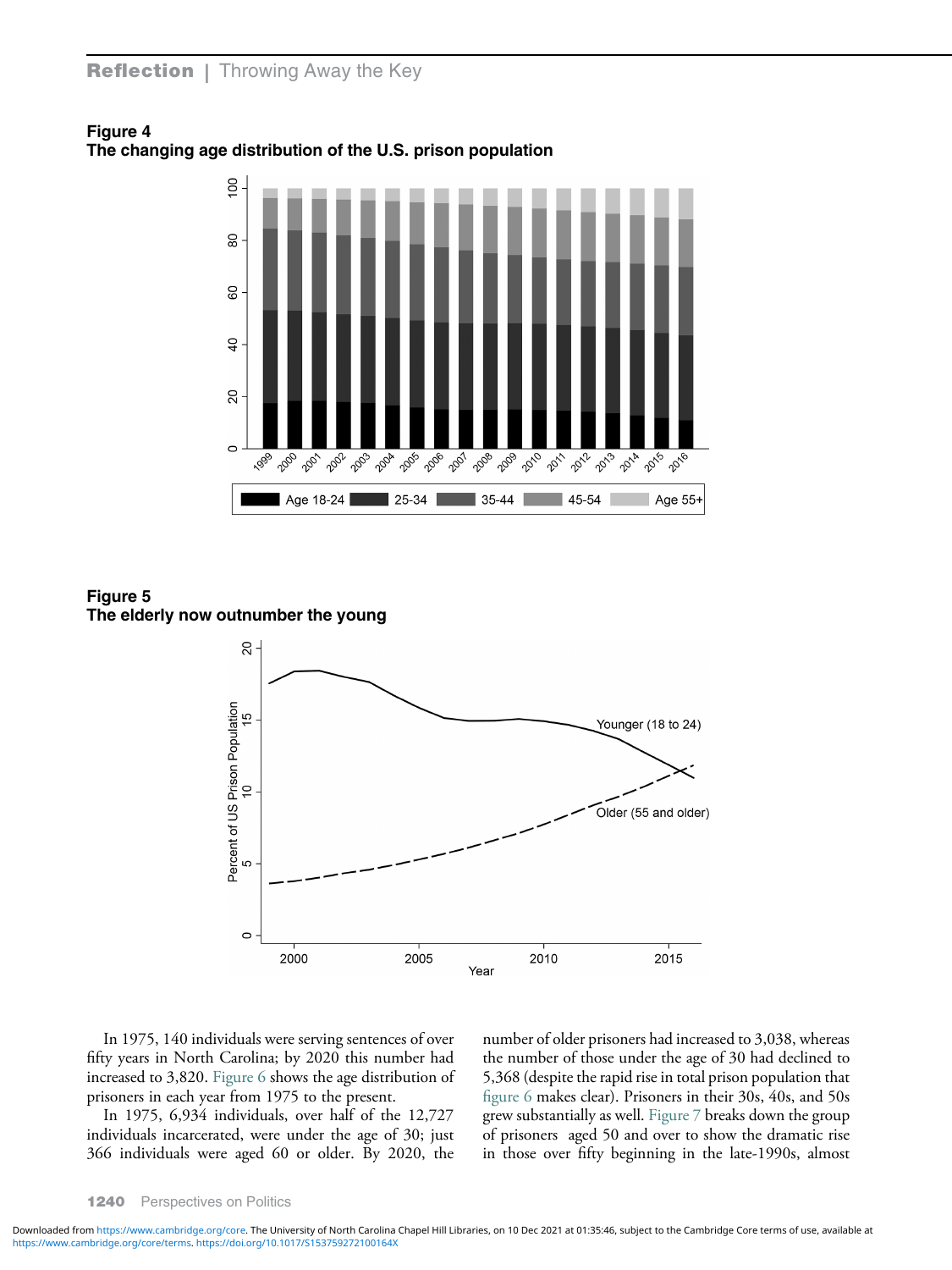

<span id="page-7-0"></span>Figure 4 The changing age distribution of the U.S. prison population

Figure 5 The elderly now outnumber the young



In 1975, 140 individuals were serving sentences of over fifty years in North Carolina; by 2020 this number had increased to 3,820. [Figure 6](#page-8-0) shows the age distribution of prisoners in each year from 1975 to the present.

In 1975, 6,934 individuals, over half of the 12,727 individuals incarcerated, were under the age of 30; just 366 individuals were aged 60 or older. By 2020, the number of older prisoners had increased to 3,038, whereas the number of those under the age of 30 had declined to 5,368 (despite the rapid rise in total prison population that fi[gure 6](#page-8-0) makes clear). Prisoners in their 30s, 40s, and 50s grew substantially as well. [Figure 7](#page-8-0) breaks down the group of prisoners aged 50 and over to show the dramatic rise in those over fifty beginning in the late-1990s, almost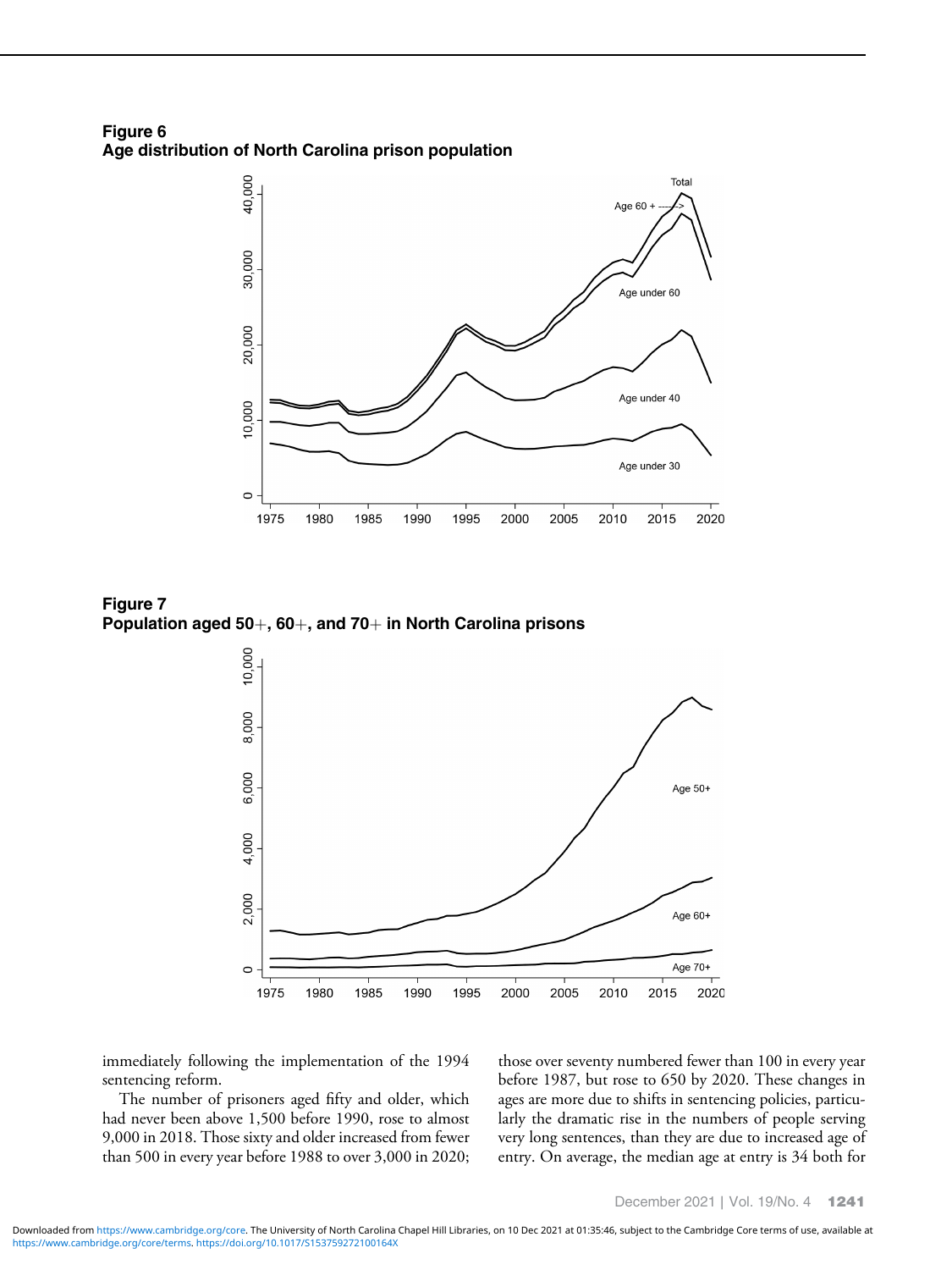<span id="page-8-0"></span>Figure 6 Age distribution of North Carolina prison population



Figure 7 Population aged 50 $+$ , 60 $+$ , and 70 $+$  in North Carolina prisons



immediately following the implementation of the 1994 sentencing reform.

The number of prisoners aged fifty and older, which had never been above 1,500 before 1990, rose to almost 9,000 in 2018. Those sixty and older increased from fewer than 500 in every year before 1988 to over 3,000 in 2020; those over seventy numbered fewer than 100 in every year before 1987, but rose to 650 by 2020. These changes in ages are more due to shifts in sentencing policies, particularly the dramatic rise in the numbers of people serving very long sentences, than they are due to increased age of entry. On average, the median age at entry is 34 both for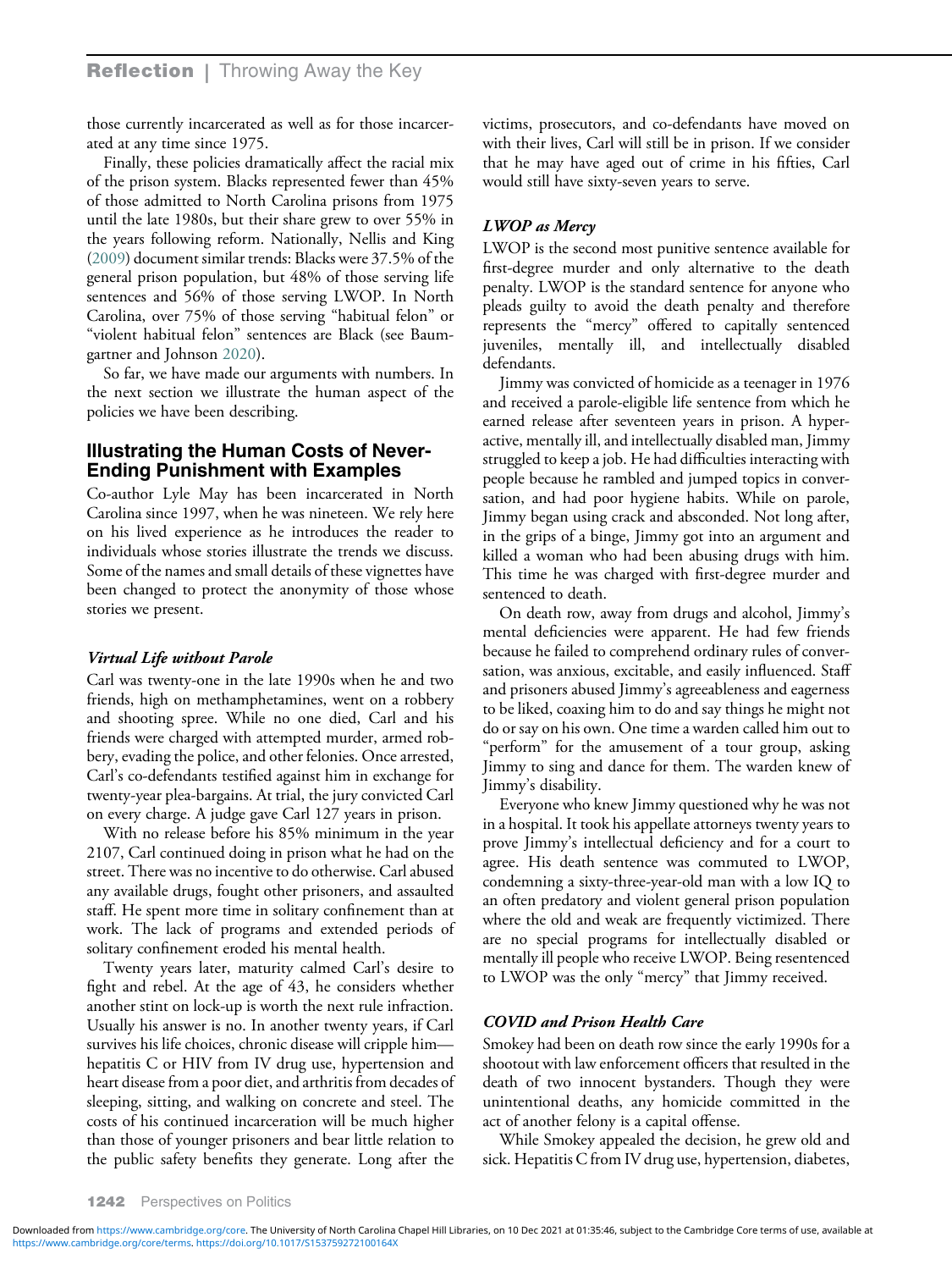# **Reflection** | Throwing Away the Key

those currently incarcerated as well as for those incarcerated at any time since 1975.

Finally, these policies dramatically affect the racial mix of the prison system. Blacks represented fewer than 45% of those admitted to North Carolina prisons from 1975 until the late 1980s, but their share grew to over 55% in the years following reform. Nationally, Nellis and King [\(2009](#page-12-0)) document similar trends: Blacks were 37.5% of the general prison population, but 48% of those serving life sentences and 56% of those serving LWOP. In North Carolina, over 75% of those serving "habitual felon" or "violent habitual felon" sentences are Black (see Baumgartner and Johnson [2020\)](#page-11-0).

So far, we have made our arguments with numbers. In the next section we illustrate the human aspect of the policies we have been describing.

#### Illustrating the Human Costs of Never-Ending Punishment with Examples

Co-author Lyle May has been incarcerated in North Carolina since 1997, when he was nineteen. We rely here on his lived experience as he introduces the reader to individuals whose stories illustrate the trends we discuss. Some of the names and small details of these vignettes have been changed to protect the anonymity of those whose stories we present.

#### Virtual Life without Parole

Carl was twenty-one in the late 1990s when he and two friends, high on methamphetamines, went on a robbery and shooting spree. While no one died, Carl and his friends were charged with attempted murder, armed robbery, evading the police, and other felonies. Once arrested, Carl's co-defendants testified against him in exchange for twenty-year plea-bargains. At trial, the jury convicted Carl on every charge. A judge gave Carl 127 years in prison.

With no release before his 85% minimum in the year 2107, Carl continued doing in prison what he had on the street. There was no incentive to do otherwise. Carl abused any available drugs, fought other prisoners, and assaulted staff. He spent more time in solitary confinement than at work. The lack of programs and extended periods of solitary confinement eroded his mental health.

Twenty years later, maturity calmed Carl's desire to fight and rebel. At the age of 43, he considers whether another stint on lock-up is worth the next rule infraction. Usually his answer is no. In another twenty years, if Carl survives his life choices, chronic disease will cripple him hepatitis C or HIV from IV drug use, hypertension and heart disease from a poor diet, and arthritis from decades of sleeping, sitting, and walking on concrete and steel. The costs of his continued incarceration will be much higher than those of younger prisoners and bear little relation to the public safety benefits they generate. Long after the victims, prosecutors, and co-defendants have moved on with their lives, Carl will still be in prison. If we consider that he may have aged out of crime in his fifties, Carl would still have sixty-seven years to serve.

#### LWOP as Mercy

LWOP is the second most punitive sentence available for first-degree murder and only alternative to the death penalty. LWOP is the standard sentence for anyone who pleads guilty to avoid the death penalty and therefore represents the "mercy" offered to capitally sentenced juveniles, mentally ill, and intellectually disabled defendants.

Jimmy was convicted of homicide as a teenager in 1976 and received a parole-eligible life sentence from which he earned release after seventeen years in prison. A hyperactive, mentally ill, and intellectually disabled man, Jimmy struggled to keep a job. He had difficulties interacting with people because he rambled and jumped topics in conversation, and had poor hygiene habits. While on parole, Jimmy began using crack and absconded. Not long after, in the grips of a binge, Jimmy got into an argument and killed a woman who had been abusing drugs with him. This time he was charged with first-degree murder and sentenced to death.

On death row, away from drugs and alcohol, Jimmy's mental deficiencies were apparent. He had few friends because he failed to comprehend ordinary rules of conversation, was anxious, excitable, and easily influenced. Staff and prisoners abused Jimmy's agreeableness and eagerness to be liked, coaxing him to do and say things he might not do or say on his own. One time a warden called him out to "perform" for the amusement of a tour group, asking Jimmy to sing and dance for them. The warden knew of Jimmy's disability.

Everyone who knew Jimmy questioned why he was not in a hospital. It took his appellate attorneys twenty years to prove Jimmy's intellectual deficiency and for a court to agree. His death sentence was commuted to LWOP, condemning a sixty-three-year-old man with a low IQ to an often predatory and violent general prison population where the old and weak are frequently victimized. There are no special programs for intellectually disabled or mentally ill people who receive LWOP. Being resentenced to LWOP was the only "mercy" that Jimmy received.

#### COVID and Prison Health Care

Smokey had been on death row since the early 1990s for a shootout with law enforcement officers that resulted in the death of two innocent bystanders. Though they were unintentional deaths, any homicide committed in the act of another felony is a capital offense.

While Smokey appealed the decision, he grew old and sick. Hepatitis C from IV drug use, hypertension, diabetes,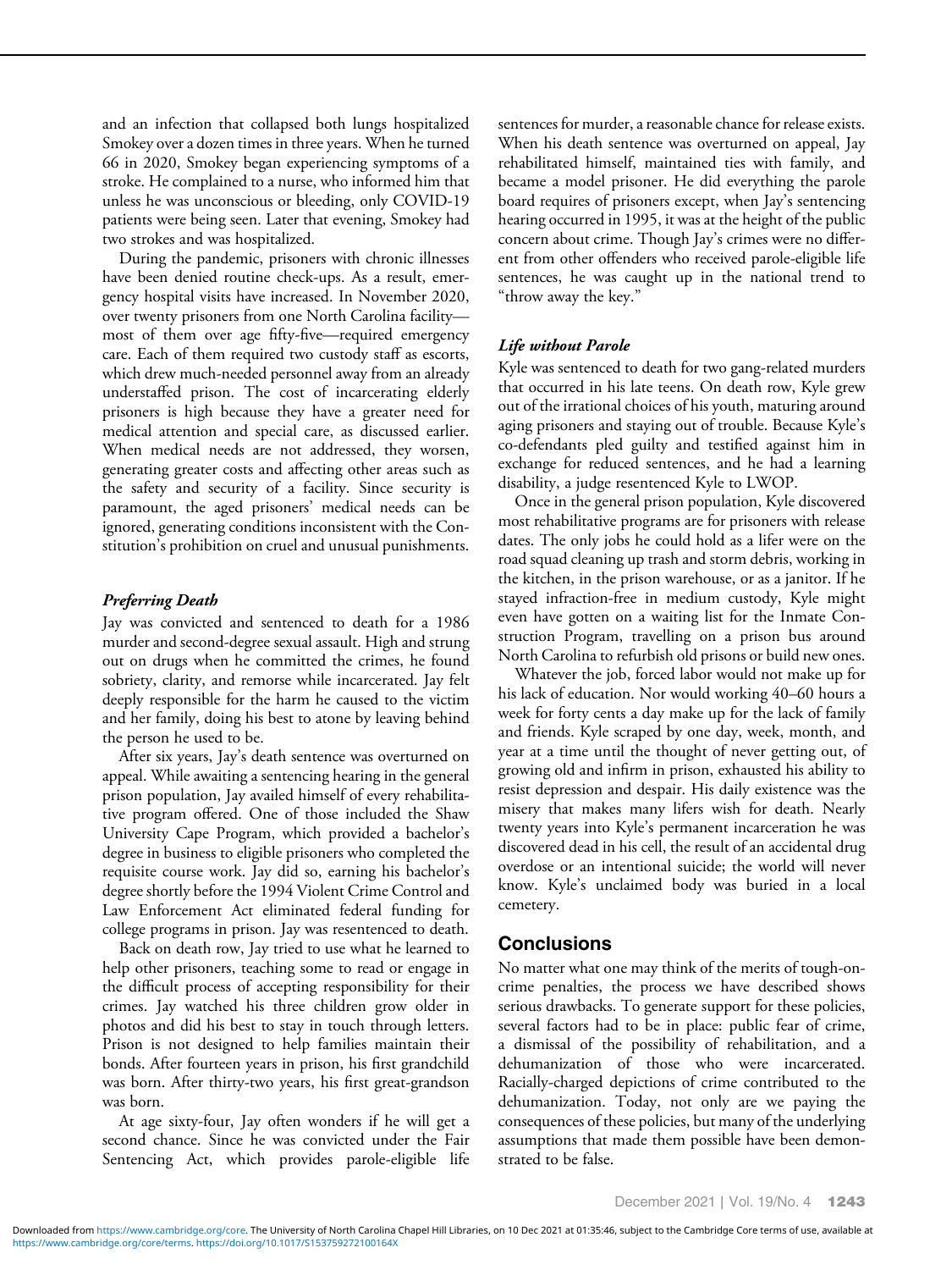and an infection that collapsed both lungs hospitalized Smokey over a dozen times in three years. When he turned 66 in 2020, Smokey began experiencing symptoms of a stroke. He complained to a nurse, who informed him that unless he was unconscious or bleeding, only COVID-19 patients were being seen. Later that evening, Smokey had two strokes and was hospitalized.

During the pandemic, prisoners with chronic illnesses have been denied routine check-ups. As a result, emergency hospital visits have increased. In November 2020, over twenty prisoners from one North Carolina facility most of them over age fifty-five—required emergency care. Each of them required two custody staff as escorts, which drew much-needed personnel away from an already understaffed prison. The cost of incarcerating elderly prisoners is high because they have a greater need for medical attention and special care, as discussed earlier. When medical needs are not addressed, they worsen, generating greater costs and affecting other areas such as the safety and security of a facility. Since security is paramount, the aged prisoners' medical needs can be ignored, generating conditions inconsistent with the Constitution's prohibition on cruel and unusual punishments.

## Preferring Death

Jay was convicted and sentenced to death for a 1986 murder and second-degree sexual assault. High and strung out on drugs when he committed the crimes, he found sobriety, clarity, and remorse while incarcerated. Jay felt deeply responsible for the harm he caused to the victim and her family, doing his best to atone by leaving behind the person he used to be.

After six years, Jay's death sentence was overturned on appeal. While awaiting a sentencing hearing in the general prison population, Jay availed himself of every rehabilitative program offered. One of those included the Shaw University Cape Program, which provided a bachelor's degree in business to eligible prisoners who completed the requisite course work. Jay did so, earning his bachelor's degree shortly before the 1994 Violent Crime Control and Law Enforcement Act eliminated federal funding for college programs in prison. Jay was resentenced to death.

Back on death row, Jay tried to use what he learned to help other prisoners, teaching some to read or engage in the difficult process of accepting responsibility for their crimes. Jay watched his three children grow older in photos and did his best to stay in touch through letters. Prison is not designed to help families maintain their bonds. After fourteen years in prison, his first grandchild was born. After thirty-two years, his first great-grandson was born.

At age sixty-four, Jay often wonders if he will get a second chance. Since he was convicted under the Fair Sentencing Act, which provides parole-eligible life sentences for murder, a reasonable chance for release exists. When his death sentence was overturned on appeal, Jay rehabilitated himself, maintained ties with family, and became a model prisoner. He did everything the parole board requires of prisoners except, when Jay's sentencing hearing occurred in 1995, it was at the height of the public concern about crime. Though Jay's crimes were no different from other offenders who received parole-eligible life sentences, he was caught up in the national trend to "throw away the key."

# Life without Parole

Kyle was sentenced to death for two gang-related murders that occurred in his late teens. On death row, Kyle grew out of the irrational choices of his youth, maturing around aging prisoners and staying out of trouble. Because Kyle's co-defendants pled guilty and testified against him in exchange for reduced sentences, and he had a learning disability, a judge resentenced Kyle to LWOP.

Once in the general prison population, Kyle discovered most rehabilitative programs are for prisoners with release dates. The only jobs he could hold as a lifer were on the road squad cleaning up trash and storm debris, working in the kitchen, in the prison warehouse, or as a janitor. If he stayed infraction-free in medium custody, Kyle might even have gotten on a waiting list for the Inmate Construction Program, travelling on a prison bus around North Carolina to refurbish old prisons or build new ones.

Whatever the job, forced labor would not make up for his lack of education. Nor would working 40–60 hours a week for forty cents a day make up for the lack of family and friends. Kyle scraped by one day, week, month, and year at a time until the thought of never getting out, of growing old and infirm in prison, exhausted his ability to resist depression and despair. His daily existence was the misery that makes many lifers wish for death. Nearly twenty years into Kyle's permanent incarceration he was discovered dead in his cell, the result of an accidental drug overdose or an intentional suicide; the world will never know. Kyle's unclaimed body was buried in a local cemetery.

# **Conclusions**

No matter what one may think of the merits of tough-oncrime penalties, the process we have described shows serious drawbacks. To generate support for these policies, several factors had to be in place: public fear of crime, a dismissal of the possibility of rehabilitation, and a dehumanization of those who were incarcerated. Racially-charged depictions of crime contributed to the dehumanization. Today, not only are we paying the consequences of these policies, but many of the underlying assumptions that made them possible have been demonstrated to be false.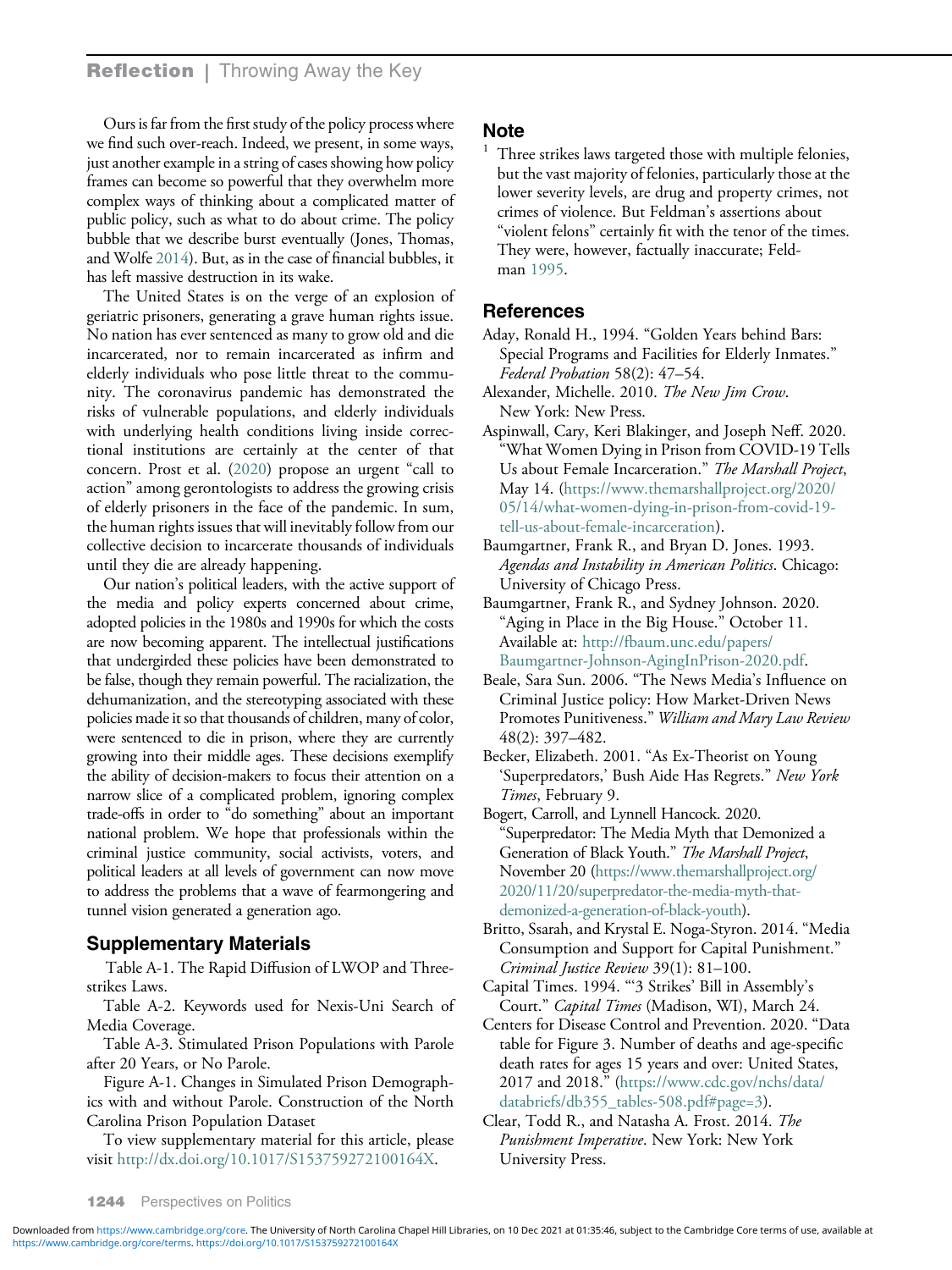<span id="page-11-0"></span>Ours is far from the first study of the policy process where we find such over-reach. Indeed, we present, in some ways, just another example in a string of cases showing how policy frames can become so powerful that they overwhelm more complex ways of thinking about a complicated matter of public policy, such as what to do about crime. The policy bubble that we describe burst eventually (Jones, Thomas, and Wolfe [2014\)](#page-12-0). But, as in the case of financial bubbles, it has left massive destruction in its wake.

The United States is on the verge of an explosion of geriatric prisoners, generating a grave human rights issue. No nation has ever sentenced as many to grow old and die incarcerated, nor to remain incarcerated as infirm and elderly individuals who pose little threat to the community. The coronavirus pandemic has demonstrated the risks of vulnerable populations, and elderly individuals with underlying health conditions living inside correctional institutions are certainly at the center of that concern. Prost et al. [\(2020](#page-12-0)) propose an urgent "call to action" among gerontologists to address the growing crisis of elderly prisoners in the face of the pandemic. In sum, the human rights issues that will inevitably follow from our collective decision to incarcerate thousands of individuals until they die are already happening.

Our nation's political leaders, with the active support of the media and policy experts concerned about crime, adopted policies in the 1980s and 1990s for which the costs are now becoming apparent. The intellectual justifications that undergirded these policies have been demonstrated to be false, though they remain powerful. The racialization, the dehumanization, and the stereotyping associated with these policies made it so that thousands of children, many of color, were sentenced to die in prison, where they are currently growing into their middle ages. These decisions exemplify the ability of decision-makers to focus their attention on a narrow slice of a complicated problem, ignoring complex trade-offs in order to "do something" about an important national problem. We hope that professionals within the criminal justice community, social activists, voters, and political leaders at all levels of government can now move to address the problems that a wave of fearmongering and tunnel vision generated a generation ago.

## Supplementary Materials

Table A-1. The Rapid Diffusion of LWOP and Threestrikes Laws.

Table A-2. Keywords used for Nexis-Uni Search of Media Coverage.

Table A-3. Stimulated Prison Populations with Parole after 20 Years, or No Parole.

Figure A-1. Changes in Simulated Prison Demographics with and without Parole. Construction of the North Carolina Prison Population Dataset

To view supplementary material for this article, please visit [http://dx.doi.org/10.1017/S153759272100164X.](http://dx.doi.org/10.1017/S153759272100164X)

# **Note**

Three strikes laws targeted those with multiple felonies, but the vast majority of felonies, particularly those at the lower severity levels, are drug and property crimes, not crimes of violence. But Feldman's assertions about "violent felons" certainly fit with the tenor of the times. They were, however, factually inaccurate; Feldman [1995.](#page-12-0)

## References

- Aday, Ronald H., 1994. "Golden Years behind Bars: Special Programs and Facilities for Elderly Inmates." Federal Probation 58(2): 47–54.
- Alexander, Michelle. 2010. The New Jim Crow. New York: New Press.
- Aspinwall, Cary, Keri Blakinger, and Joseph Neff. 2020. "What Women Dying in Prison from COVID-19 Tells Us about Female Incarceration." The Marshall Project, May 14. ([https://www.themarshallproject.org/2020/](https://www.themarshallproject.org/2020/05/14/what-women-dying-in-prison-from-covid-19-tell-us-about-female-incarceration) [05/14/what-women-dying-in-prison-from-covid-19](https://www.themarshallproject.org/2020/05/14/what-women-dying-in-prison-from-covid-19-tell-us-about-female-incarceration) [tell-us-about-female-incarceration](https://www.themarshallproject.org/2020/05/14/what-women-dying-in-prison-from-covid-19-tell-us-about-female-incarceration)).
- Baumgartner, Frank R., and Bryan D. Jones. 1993. Agendas and Instability in American Politics. Chicago: University of Chicago Press.
- Baumgartner, Frank R., and Sydney Johnson. 2020. "Aging in Place in the Big House." October 11. Available at: [http://fbaum.unc.edu/papers/](http://fbaum.unc.edu/papers/Baumgartner-Johnson-AgingInPrison-2020.pdf) [Baumgartner-Johnson-AgingInPrison-2020.pdf.](http://fbaum.unc.edu/papers/Baumgartner-Johnson-AgingInPrison-2020.pdf)
- Beale, Sara Sun. 2006. "The News Media's Influence on Criminal Justice policy: How Market-Driven News Promotes Punitiveness." William and Mary Law Review 48(2): 397–482.
- Becker, Elizabeth. 2001. "As Ex-Theorist on Young 'Superpredators,' Bush Aide Has Regrets." New York Times, February 9.

Bogert, Carroll, and Lynnell Hancock. 2020. "Superpredator: The Media Myth that Demonized a Generation of Black Youth." The Marshall Project, November 20 [\(https://www.themarshallproject.org/](https://www.themarshallproject.org/2020/11/20/superpredator-the-media-myth-that-demonized-a-generation-of-black-youth) [2020/11/20/superpredator-the-media-myth-that](https://www.themarshallproject.org/2020/11/20/superpredator-the-media-myth-that-demonized-a-generation-of-black-youth)[demonized-a-generation-of-black-youth\)](https://www.themarshallproject.org/2020/11/20/superpredator-the-media-myth-that-demonized-a-generation-of-black-youth).

- Britto, Ssarah, and Krystal E. Noga-Styron. 2014. "Media Consumption and Support for Capital Punishment." Criminal Justice Review 39(1): 81–100.
- Capital Times. 1994. "'3 Strikes' Bill in Assembly's Court." Capital Times (Madison, WI), March 24.
- Centers for Disease Control and Prevention. 2020. "Data table for Figure 3. Number of deaths and age-specific death rates for ages 15 years and over: United States, 2017 and 2018." ([https://www.cdc.gov/nchs/data/](https://www.cdc.gov/nchs/data/databriefs/db355_tables-508.pdf#page=3) [databriefs/db355\\_tables-508.pdf#page=3\)](https://www.cdc.gov/nchs/data/databriefs/db355_tables-508.pdf#page=3).
- Clear, Todd R., and Natasha A. Frost. 2014. The Punishment Imperative. New York: New York University Press.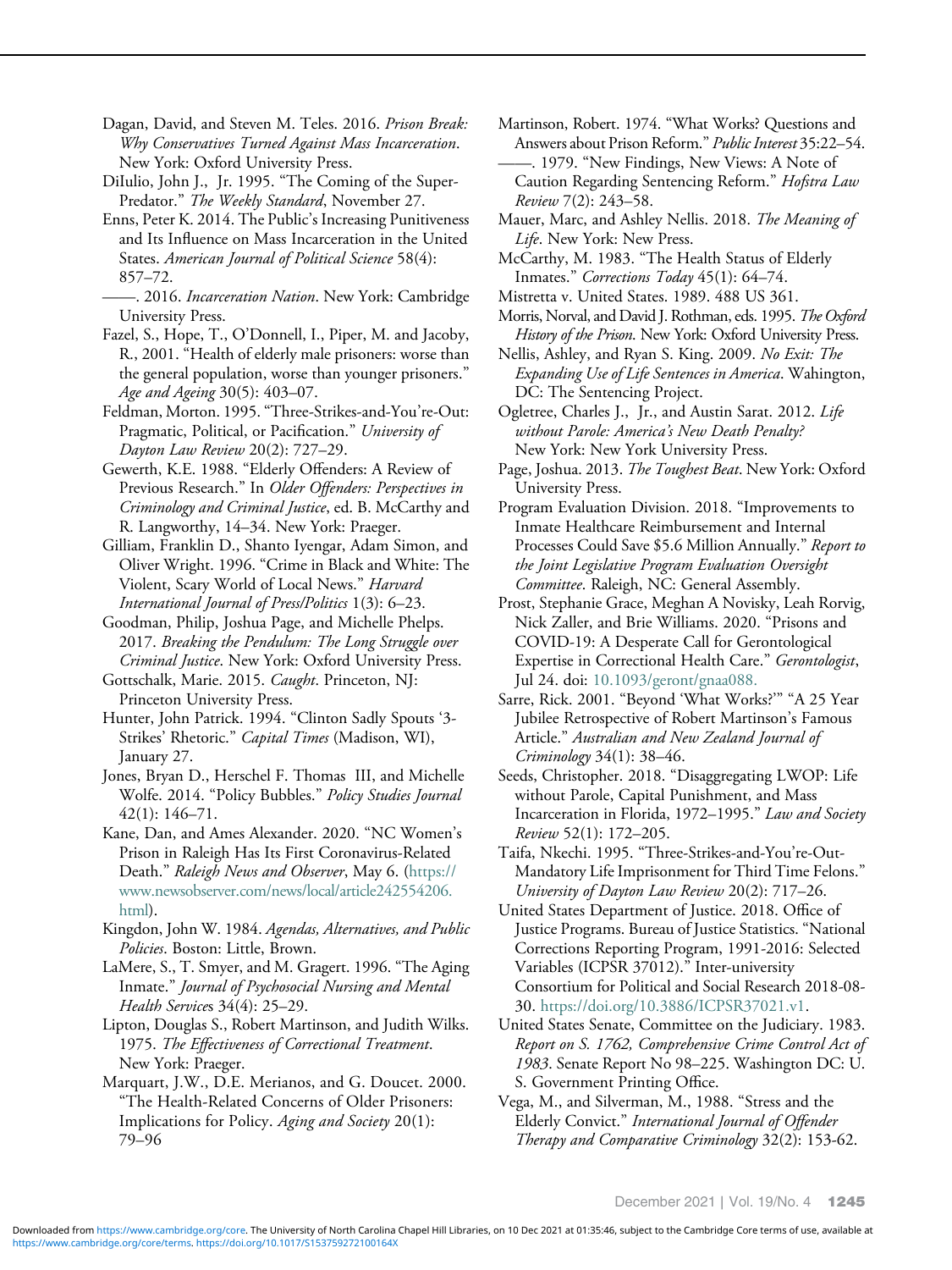<span id="page-12-0"></span>Dagan, David, and Steven M. Teles. 2016. *Prison Break:* Why Conservatives Turned Against Mass Incarceration. New York: Oxford University Press.

DiIulio, John J., Jr. 1995. "The Coming of the Super-Predator." The Weekly Standard, November 27.

Enns, Peter K. 2014. The Public's Increasing Punitiveness and Its Influence on Mass Incarceration in the United States. American Journal of Political Science 58(4): 857–72.

——. 2016. Incarceration Nation. New York: Cambridge University Press.

Fazel, S., Hope, T., O'Donnell, I., Piper, M. and Jacoby, R., 2001. "Health of elderly male prisoners: worse than the general population, worse than younger prisoners." Age and Ageing 30(5): 403–07.

Feldman, Morton. 1995."Three-Strikes-and-You're-Out: Pragmatic, Political, or Pacification." University of Dayton Law Review 20(2): 727–29.

Gewerth, K.E. 1988. "Elderly Offenders: A Review of Previous Research." In Older Offenders: Perspectives in Criminology and Criminal Justice, ed. B. McCarthy and R. Langworthy, 14–34. New York: Praeger.

Gilliam, Franklin D., Shanto Iyengar, Adam Simon, and Oliver Wright. 1996. "Crime in Black and White: The Violent, Scary World of Local News." Harvard International Journal of Press/Politics 1(3): 6–23.

Goodman, Philip, Joshua Page, and Michelle Phelps. 2017. Breaking the Pendulum: The Long Struggle over Criminal Justice. New York: Oxford University Press.

Gottschalk, Marie. 2015. Caught. Princeton, NJ: Princeton University Press.

Hunter, John Patrick. 1994. "Clinton Sadly Spouts '3- Strikes' Rhetoric." Capital Times (Madison, WI), January 27.

Jones, Bryan D., Herschel F. Thomas III, and Michelle Wolfe. 2014. "Policy Bubbles." Policy Studies Journal 42(1): 146–71.

Kane, Dan, and Ames Alexander. 2020. "NC Women's Prison in Raleigh Has Its First Coronavirus-Related Death." Raleigh News and Observer, May 6. [\(https://](https://www.newsobserver.com/news/local/article242554206.html) [www.newsobserver.com/news/local/article242554206.](https://www.newsobserver.com/news/local/article242554206.html) [html\)](https://www.newsobserver.com/news/local/article242554206.html).

Kingdon, John W. 1984. Agendas, Alternatives, and Public Policies. Boston: Little, Brown.

LaMere, S., T. Smyer, and M. Gragert. 1996. "The Aging Inmate." Journal of Psychosocial Nursing and Mental Health Services 34(4): 25–29.

Lipton, Douglas S., Robert Martinson, and Judith Wilks. 1975. The Effectiveness of Correctional Treatment. New York: Praeger.

Marquart, J.W., D.E. Merianos, and G. Doucet. 2000. "The Health-Related Concerns of Older Prisoners: Implications for Policy. Aging and Society 20(1): 79–96

Martinson, Robert. 1974. "What Works? Questions and Answers about Prison Reform." Public Interest 35:22–54. ——. 1979. "New Findings, New Views: A Note of

Caution Regarding Sentencing Reform." Hofstra Law Review 7(2): 243–58.

Mauer, Marc, and Ashley Nellis. 2018. The Meaning of Life. New York: New Press.

McCarthy, M. 1983. "The Health Status of Elderly Inmates." Corrections Today 45(1): 64-74.

Mistretta v. United States. 1989. 488 US 361.

Morris, Norval, and David J. Rothman, eds. 1995. The Oxford History of the Prison. New York: Oxford University Press.

Nellis, Ashley, and Ryan S. King. 2009. No Exit: The Expanding Use of Life Sentences in America. Wahington, DC: The Sentencing Project.

Ogletree, Charles J., Jr., and Austin Sarat. 2012. Life without Parole: America's New Death Penalty? New York: New York University Press.

Page, Joshua. 2013. The Toughest Beat. New York: Oxford University Press.

Program Evaluation Division. 2018. "Improvements to Inmate Healthcare Reimbursement and Internal Processes Could Save \$5.6 Million Annually." Report to the Joint Legislative Program Evaluation Oversight Committee. Raleigh, NC: General Assembly.

Prost, Stephanie Grace, Meghan A Novisky, Leah Rorvig, Nick Zaller, and Brie Williams. 2020. "Prisons and COVID-19: A Desperate Call for Gerontological Expertise in Correctional Health Care." Gerontologist, Jul 24. doi: [10.1093/geront/gnaa088.](https://doi.org/10.1093/geront/gnaa088)

Sarre, Rick. 2001. "Beyond 'What Works?'" "A 25 Year Jubilee Retrospective of Robert Martinson's Famous Article." Australian and New Zealand Journal of Criminology 34(1): 38–46.

Seeds, Christopher. 2018. "Disaggregating LWOP: Life without Parole, Capital Punishment, and Mass Incarceration in Florida, 1972–1995." Law and Society Review 52(1): 172–205.

Taifa, Nkechi. 1995. "Three-Strikes-and-You're-Out-Mandatory Life Imprisonment for Third Time Felons." University of Dayton Law Review 20(2): 717–26.

United States Department of Justice. 2018. Office of Justice Programs. Bureau of Justice Statistics. "National Corrections Reporting Program, 1991-2016: Selected Variables (ICPSR 37012)." Inter-university Consortium for Political and Social Research 2018-08- 30. [https://doi.org/10.3886/ICPSR37021.v1.](https://doi.org/10.3886/ICPSR37021.v1)

United States Senate, Committee on the Judiciary. 1983. Report on S. 1762, Comprehensive Crime Control Act of 1983. Senate Report No 98–225. Washington DC: U. S. Government Printing Office.

Vega, M., and Silverman, M., 1988. "Stress and the Elderly Convict." International Journal of Offender Therapy and Comparative Criminology 32(2): 153-62.